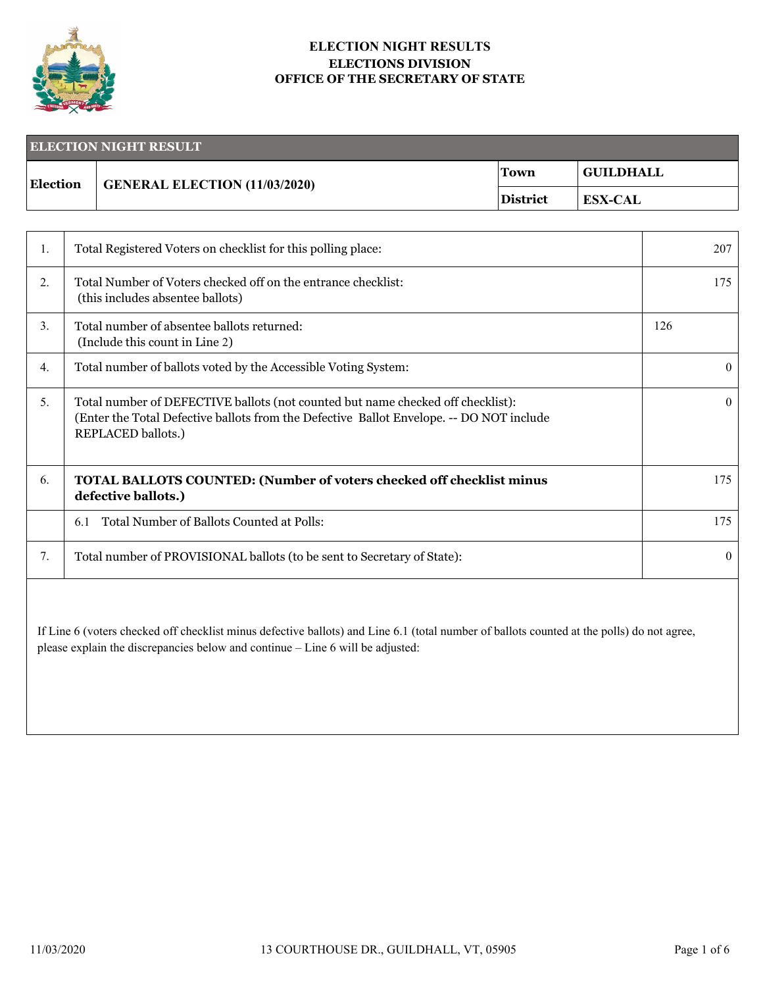

## **ELECTION NIGHT RESULTS ELECTIONS DIVISION OFFICE OF THE SECRETARY OF STATE**

| <b>ELECTION NIGHT RESULT</b> |                                       |          |                  |
|------------------------------|---------------------------------------|----------|------------------|
| <b>Election</b>              | $\vert$ GENERAL ELECTION (11/03/2020) | Town     | <b>GUILDHALL</b> |
|                              |                                       | District | <b>ESX-CAL</b>   |

| Ι. | Total Registered Voters on checklist for this polling place:                                                                                                                                             | 207      |
|----|----------------------------------------------------------------------------------------------------------------------------------------------------------------------------------------------------------|----------|
| 2. | Total Number of Voters checked off on the entrance checklist:<br>(this includes absentee ballots)                                                                                                        | 175      |
| 3. | Total number of absentee ballots returned:<br>(Include this count in Line 2)                                                                                                                             | 126      |
| 4. | Total number of ballots voted by the Accessible Voting System:                                                                                                                                           | $\Omega$ |
| 5. | Total number of DEFECTIVE ballots (not counted but name checked off checklist):<br>(Enter the Total Defective ballots from the Defective Ballot Envelope. -- DO NOT include<br><b>REPLACED ballots.)</b> | $\Omega$ |
| 6. | <b>TOTAL BALLOTS COUNTED: (Number of voters checked off checklist minus</b><br>defective ballots.)                                                                                                       | 175      |
|    | Total Number of Ballots Counted at Polls:<br>6.1                                                                                                                                                         | 175      |
| 7. | Total number of PROVISIONAL ballots (to be sent to Secretary of State):                                                                                                                                  | 0        |
|    |                                                                                                                                                                                                          |          |

If Line 6 (voters checked off checklist minus defective ballots) and Line 6.1 (total number of ballots counted at the polls) do not agree, please explain the discrepancies below and continue – Line 6 will be adjusted: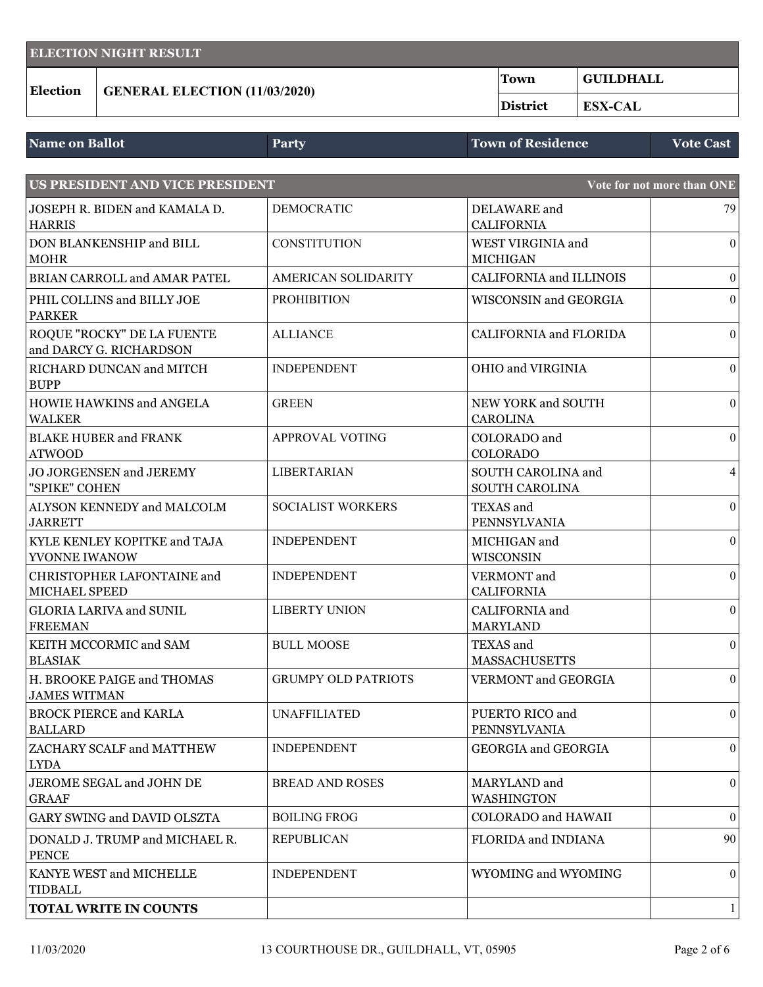| <b>ELECTION NIGHT RESULT</b> |                                      |             |             |
|------------------------------|--------------------------------------|-------------|-------------|
| <b>Election</b>              | <b>GENERAL ELECTION (11/03/2020)</b> | <b>Town</b> | ' GUILDHALL |
|                              |                                      | District    | ESX-CAL     |

| <b>Name on Ballot</b> | Party | Town of Residence | <b>Vote Cast</b> |
|-----------------------|-------|-------------------|------------------|
|                       |       |                   |                  |

| US PRESIDENT AND VICE PRESIDENT                       |                            |                                       | Vote for not more than ONE |
|-------------------------------------------------------|----------------------------|---------------------------------------|----------------------------|
| JOSEPH R. BIDEN and KAMALA D.<br><b>HARRIS</b>        | <b>DEMOCRATIC</b>          | DELAWARE and<br><b>CALIFORNIA</b>     | 79                         |
| DON BLANKENSHIP and BILL<br><b>MOHR</b>               | <b>CONSTITUTION</b>        | WEST VIRGINIA and<br><b>MICHIGAN</b>  | $\boldsymbol{0}$           |
| BRIAN CARROLL and AMAR PATEL                          | <b>AMERICAN SOLIDARITY</b> | <b>CALIFORNIA and ILLINOIS</b>        | $\boldsymbol{0}$           |
| PHIL COLLINS and BILLY JOE<br><b>PARKER</b>           | <b>PROHIBITION</b>         | <b>WISCONSIN and GEORGIA</b>          | $\boldsymbol{0}$           |
| ROQUE "ROCKY" DE LA FUENTE<br>and DARCY G. RICHARDSON | <b>ALLIANCE</b>            | <b>CALIFORNIA and FLORIDA</b>         | $\boldsymbol{0}$           |
| RICHARD DUNCAN and MITCH<br><b>BUPP</b>               | <b>INDEPENDENT</b>         | OHIO and VIRGINIA                     | $\boldsymbol{0}$           |
| HOWIE HAWKINS and ANGELA<br><b>WALKER</b>             | <b>GREEN</b>               | NEW YORK and SOUTH<br><b>CAROLINA</b> | $\boldsymbol{0}$           |
| <b>BLAKE HUBER and FRANK</b><br><b>ATWOOD</b>         | APPROVAL VOTING            | COLORADO and<br><b>COLORADO</b>       | $\boldsymbol{0}$           |
| <b>JO JORGENSEN and JEREMY</b><br>"SPIKE" COHEN       | <b>LIBERTARIAN</b>         | SOUTH CAROLINA and<br>SOUTH CAROLINA  | $\overline{4}$             |
| ALYSON KENNEDY and MALCOLM<br><b>JARRETT</b>          | <b>SOCIALIST WORKERS</b>   | TEXAS and<br>PENNSYLVANIA             | $\boldsymbol{0}$           |
| KYLE KENLEY KOPITKE and TAJA<br>YVONNE IWANOW         | <b>INDEPENDENT</b>         | MICHIGAN and<br>WISCONSIN             | $\boldsymbol{0}$           |
| CHRISTOPHER LAFONTAINE and<br>MICHAEL SPEED           | <b>INDEPENDENT</b>         | VERMONT and<br><b>CALIFORNIA</b>      | $\boldsymbol{0}$           |
| <b>GLORIA LARIVA and SUNIL</b><br><b>FREEMAN</b>      | <b>LIBERTY UNION</b>       | CALIFORNIA and<br><b>MARYLAND</b>     | $\boldsymbol{0}$           |
| KEITH MCCORMIC and SAM<br><b>BLASIAK</b>              | <b>BULL MOOSE</b>          | TEXAS and<br><b>MASSACHUSETTS</b>     | $\mathbf{0}$               |
| H. BROOKE PAIGE and THOMAS<br><b>JAMES WITMAN</b>     | <b>GRUMPY OLD PATRIOTS</b> | VERMONT and GEORGIA                   | $\boldsymbol{0}$           |
| <b>BROCK PIERCE and KARLA</b><br><b>BALLARD</b>       | <b>UNAFFILIATED</b>        | PUERTO RICO and<br>PENNSYLVANIA       | $\boldsymbol{0}$           |
| ZACHARY SCALF and MATTHEW<br><b>LYDA</b>              | <b>INDEPENDENT</b>         | <b>GEORGIA</b> and <b>GEORGIA</b>     | $\boldsymbol{0}$           |
| JEROME SEGAL and JOHN DE<br><b>GRAAF</b>              | <b>BREAD AND ROSES</b>     | MARYLAND and<br>WASHINGTON            | $\boldsymbol{0}$           |
| GARY SWING and DAVID OLSZTA                           | <b>BOILING FROG</b>        | <b>COLORADO</b> and HAWAII            | $\boldsymbol{0}$           |
| DONALD J. TRUMP and MICHAEL R.<br><b>PENCE</b>        | <b>REPUBLICAN</b>          | <b>FLORIDA and INDIANA</b>            | 90                         |
| KANYE WEST and MICHELLE<br><b>TIDBALL</b>             | <b>INDEPENDENT</b>         | WYOMING and WYOMING                   | $\mathbf{0}$               |
| <b>TOTAL WRITE IN COUNTS</b>                          |                            |                                       | 1                          |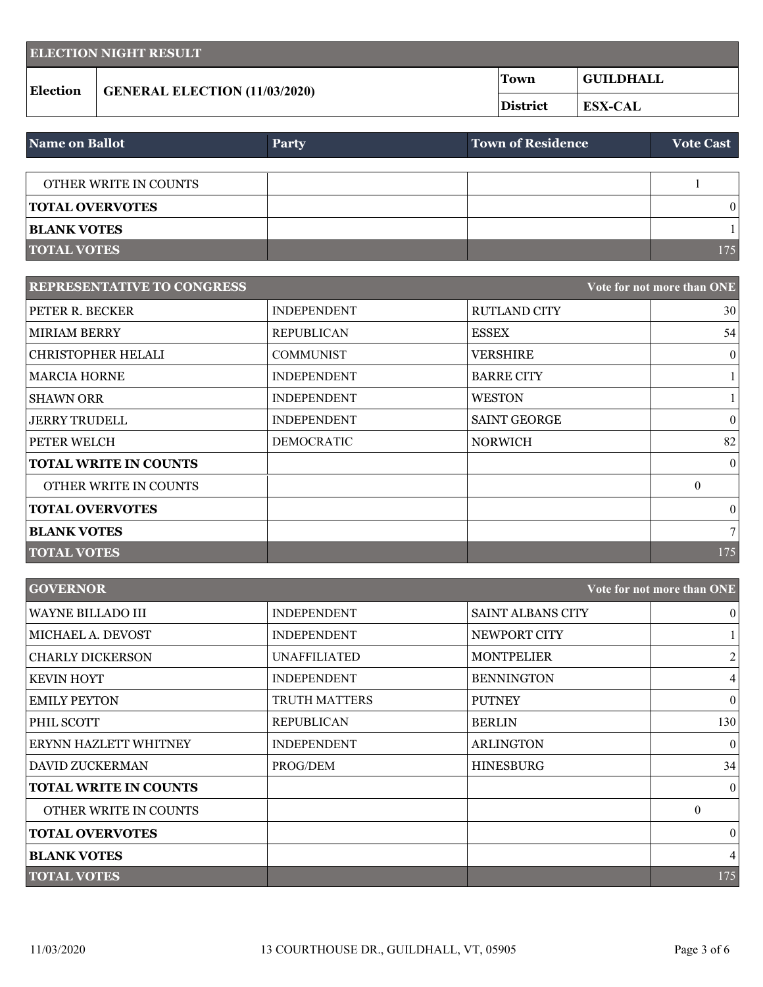| <b>ELECTION NIGHT RESULT</b> |                                      |             |                                    |
|------------------------------|--------------------------------------|-------------|------------------------------------|
| <b>Election</b>              | <b>GENERAL ELECTION (11/03/2020)</b> | <b>Town</b> | <b>GUILDHALL</b><br><b>ESX-CAL</b> |
|                              |                                      | District    |                                    |

| Name on Ballot         | <b>Party</b> | <b>Town of Residence</b> | <b>Vote Cast</b> |
|------------------------|--------------|--------------------------|------------------|
|                        |              |                          |                  |
| OTHER WRITE IN COUNTS  |              |                          |                  |
| <b>TOTAL OVERVOTES</b> |              |                          | $\Omega$         |
| <b>BLANK VOTES</b>     |              |                          |                  |
| <b>TOTAL VOTES</b>     |              |                          | 175              |

| <b>REPRESENTATIVE TO CONGRESS</b> |                    |                     | Vote for not more than ONE |
|-----------------------------------|--------------------|---------------------|----------------------------|
| PETER R. BECKER                   | <b>INDEPENDENT</b> | <b>RUTLAND CITY</b> | 30                         |
| <b>MIRIAM BERRY</b>               | <b>REPUBLICAN</b>  | <b>ESSEX</b>        | 54                         |
| <b>CHRISTOPHER HELALI</b>         | <b>COMMUNIST</b>   | <b>VERSHIRE</b>     | $\vert 0 \vert$            |
| <b>MARCIA HORNE</b>               | <b>INDEPENDENT</b> | <b>BARRE CITY</b>   |                            |
| <b>SHAWN ORR</b>                  | <b>INDEPENDENT</b> | WESTON              |                            |
| <b>JERRY TRUDELL</b>              | <b>INDEPENDENT</b> | <b>SAINT GEORGE</b> | $\overline{0}$             |
| PETER WELCH                       | <b>DEMOCRATIC</b>  | <b>NORWICH</b>      | 82                         |
| <b>TOTAL WRITE IN COUNTS</b>      |                    |                     | $\theta$                   |
| OTHER WRITE IN COUNTS             |                    |                     | $\theta$                   |
| <b>TOTAL OVERVOTES</b>            |                    |                     | $\vert 0 \vert$            |
| <b>BLANK VOTES</b>                |                    |                     | 7 <sup>1</sup>             |
| <b>TOTAL VOTES</b>                |                    |                     | 175                        |

| <b>GOVERNOR</b>              |                    |                          | Vote for not more than ONE |
|------------------------------|--------------------|--------------------------|----------------------------|
| <b>WAYNE BILLADO III</b>     | <b>INDEPENDENT</b> | <b>SAINT ALBANS CITY</b> | $\theta$                   |
| MICHAEL A. DEVOST            | <b>INDEPENDENT</b> | NEWPORT CITY             |                            |
| <b>CHARLY DICKERSON</b>      | UNAFFILIATED       | <b>MONTPELIER</b>        | $\overline{2}$             |
| <b>KEVIN HOYT</b>            | <b>INDEPENDENT</b> | <b>BENNINGTON</b>        | $\overline{4}$             |
| <b>EMILY PEYTON</b>          | TRUTH MATTERS      | <b>PUTNEY</b>            | $\vert 0 \vert$            |
| PHIL SCOTT                   | <b>REPUBLICAN</b>  | <b>BERLIN</b>            | 130                        |
| ERYNN HAZLETT WHITNEY        | <b>INDEPENDENT</b> | <b>ARLINGTON</b>         | $\theta$                   |
| <b>DAVID ZUCKERMAN</b>       | PROG/DEM           | <b>HINESBURG</b>         | 34                         |
| <b>TOTAL WRITE IN COUNTS</b> |                    |                          | $\theta$                   |
| <b>OTHER WRITE IN COUNTS</b> |                    |                          | $\theta$                   |
| <b>TOTAL OVERVOTES</b>       |                    |                          | $\overline{0}$             |
| <b>BLANK VOTES</b>           |                    |                          | $\overline{4}$             |
| <b>TOTAL VOTES</b>           |                    |                          | 175                        |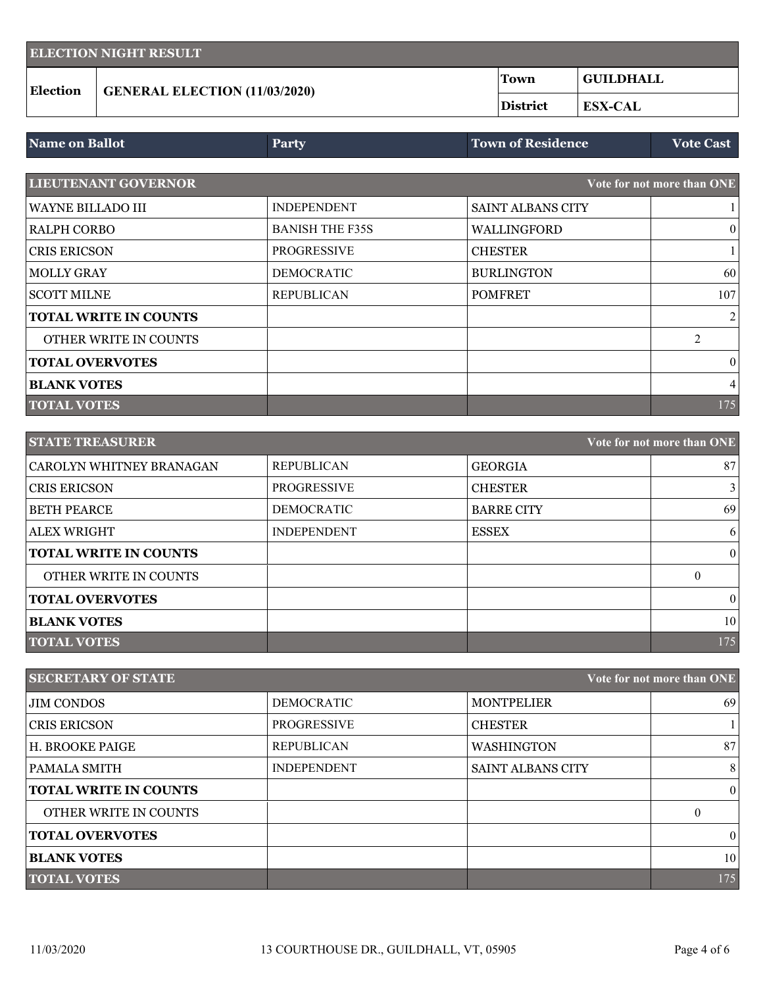| <b>ELECTION NIGHT RESULT</b> |                                      |          |                                    |
|------------------------------|--------------------------------------|----------|------------------------------------|
| <b>Election</b>              | <b>GENERAL ELECTION (11/03/2020)</b> | Town     | <b>GUILDHALL</b><br><b>ESX-CAL</b> |
|                              |                                      | District |                                    |

| Party              |                          | <b>Vote Cast</b>           |
|--------------------|--------------------------|----------------------------|
|                    |                          | Vote for not more than ONE |
| <b>INDEPENDENT</b> | <b>SAINT ALBANS CITY</b> |                            |
|                    |                          | <b>Town of Residence</b>   |

| RALPH CORBO                  | <b>BANISH THE F35S</b> | WALLINGFORD       | $\theta$ |
|------------------------------|------------------------|-------------------|----------|
| <b>CRIS ERICSON</b>          | <b>PROGRESSIVE</b>     | <b>CHESTER</b>    |          |
| MOLLY GRAY                   | <b>DEMOCRATIC</b>      | <b>BURLINGTON</b> | 60       |
| SCOTT MILNE                  | <b>REPUBLICAN</b>      | <b>POMFRET</b>    | 107      |
| <b>TOTAL WRITE IN COUNTS</b> |                        |                   | 2        |
| OTHER WRITE IN COUNTS        |                        |                   | ↑        |
| <b>TOTAL OVERVOTES</b>       |                        |                   | $\theta$ |
| <b>BLANK VOTES</b>           |                        |                   | 4        |
| <b>TOTAL VOTES</b>           |                        |                   | 175      |

| <b>STATE TREASURER</b><br>Vote for not more than ONE |                    |                   |  |              |
|------------------------------------------------------|--------------------|-------------------|--|--------------|
| CAROLYN WHITNEY BRANAGAN                             | <b>REPUBLICAN</b>  | <b>GEORGIA</b>    |  | 87           |
| <b>CRIS ERICSON</b>                                  | <b>PROGRESSIVE</b> | <b>CHESTER</b>    |  | $\mathbf{3}$ |
| <b>BETH PEARCE</b>                                   | <b>DEMOCRATIC</b>  | <b>BARRE CITY</b> |  | 69           |
| <b>ALEX WRIGHT</b>                                   | <b>INDEPENDENT</b> | <b>ESSEX</b>      |  | 6            |
| <b>TOTAL WRITE IN COUNTS</b>                         |                    |                   |  | $\theta$     |
| OTHER WRITE IN COUNTS                                |                    |                   |  | $\Omega$     |
| <b>TOTAL OVERVOTES</b>                               |                    |                   |  | $\theta$     |
| <b>BLANK VOTES</b>                                   |                    |                   |  | 10           |
| <b>TOTAL VOTES</b>                                   |                    |                   |  | 175          |

| <b>SECRETARY OF STATE</b><br>Vote for not more than ONE |                    |                          |          |
|---------------------------------------------------------|--------------------|--------------------------|----------|
| <b>JIM CONDOS</b>                                       | <b>DEMOCRATIC</b>  | <b>MONTPELIER</b>        | 69       |
| <b>CRIS ERICSON</b>                                     | <b>PROGRESSIVE</b> | <b>CHESTER</b>           |          |
| H. BROOKE PAIGE                                         | <b>REPUBLICAN</b>  | <b>WASHINGTON</b>        | 87       |
| PAMALA SMITH                                            | <b>INDEPENDENT</b> | <b>SAINT ALBANS CITY</b> | 8        |
| <b>TOTAL WRITE IN COUNTS</b>                            |                    |                          | $\theta$ |
| OTHER WRITE IN COUNTS                                   |                    |                          | $\theta$ |
| <b>TOTAL OVERVOTES</b>                                  |                    |                          | $\theta$ |
| <b>BLANK VOTES</b>                                      |                    |                          | 10       |
| <b>TOTAL VOTES</b>                                      |                    |                          | 175      |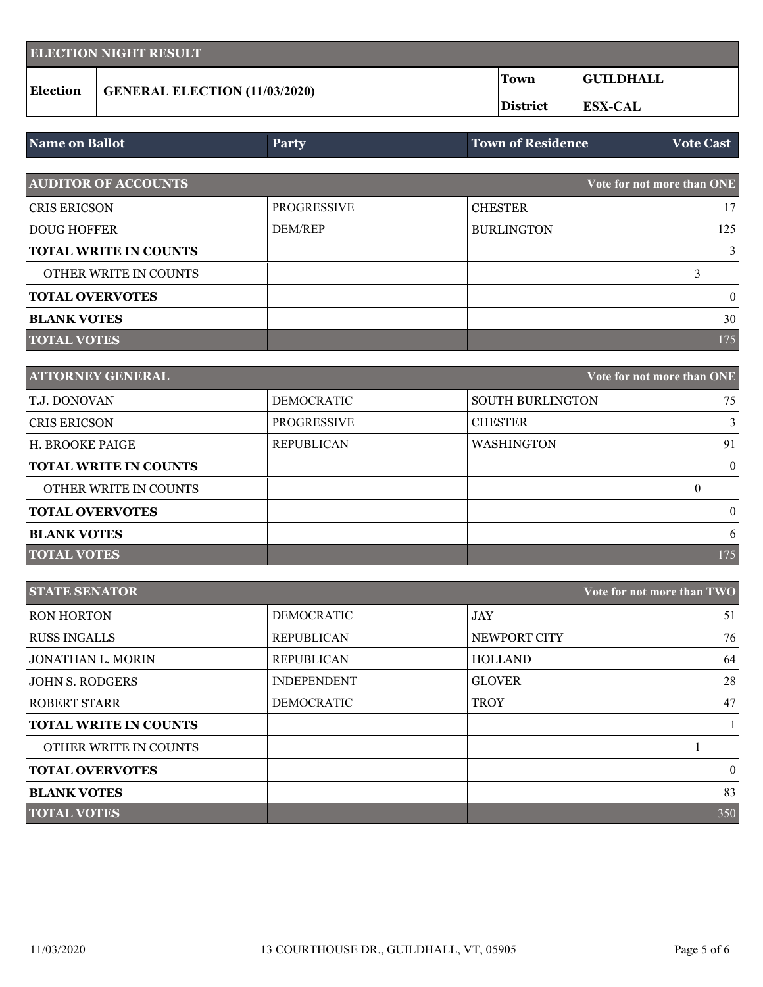| <b>ELECTION NIGHT RESULT</b> |                                      |          |                  |
|------------------------------|--------------------------------------|----------|------------------|
| <b>Election</b>              | <b>GENERAL ELECTION (11/03/2020)</b> | 'Town    | <b>GUILDHALL</b> |
|                              |                                      | District | <b>ESX-CAL</b>   |

| <b>Name on Ballot</b>        | <b>Party</b>       | <b>Town of Residence</b> | <b>Vote Cast</b>           |
|------------------------------|--------------------|--------------------------|----------------------------|
|                              |                    |                          |                            |
| <b>AUDITOR OF ACCOUNTS</b>   |                    |                          | Vote for not more than ONE |
| <b>CRIS ERICSON</b>          | <b>PROGRESSIVE</b> | <b>CHESTER</b>           | 17                         |
| <b>DOUG HOFFER</b>           | <b>DEM/REP</b>     | <b>BURLINGTON</b>        | 125                        |
| <b>TOTAL WRITE IN COUNTS</b> |                    |                          | 3                          |
| OTHER WRITE IN COUNTS        |                    |                          |                            |
| <b>TOTAL OVERVOTES</b>       |                    |                          | $\theta$                   |
| <b>BLANK VOTES</b>           |                    |                          | 30                         |
| <b>TOTAL VOTES</b>           |                    |                          | 175                        |

| <b>ATTORNEY GENERAL</b><br>Vote for not more than ONE |                    |                         |              |
|-------------------------------------------------------|--------------------|-------------------------|--------------|
| T.J. DONOVAN                                          | <b>DEMOCRATIC</b>  | <b>SOUTH BURLINGTON</b> | 75           |
| <b>CRIS ERICSON</b>                                   | <b>PROGRESSIVE</b> | <b>CHESTER</b>          |              |
| H. BROOKE PAIGE                                       | <b>REPUBLICAN</b>  | <b>WASHINGTON</b>       | 91           |
| <b>TOTAL WRITE IN COUNTS</b>                          |                    |                         | $\mathbf{0}$ |
| <b>OTHER WRITE IN COUNTS</b>                          |                    |                         | $\theta$     |
| <b>TOTAL OVERVOTES</b>                                |                    |                         | $\theta$     |
| <b>BLANK VOTES</b>                                    |                    |                         | 6            |
| <b>TOTAL VOTES</b>                                    |                    |                         | 175          |

| <b>STATE SENATOR</b><br>Vote for not more than TWO |                    |                |         |
|----------------------------------------------------|--------------------|----------------|---------|
| <b>RON HORTON</b>                                  | <b>DEMOCRATIC</b>  | <b>JAY</b>     | 51      |
| <b>RUSS INGALLS</b>                                | <b>REPUBLICAN</b>  | NEWPORT CITY   | 76      |
| <b>JONATHAN L. MORIN</b>                           | <b>REPUBLICAN</b>  | <b>HOLLAND</b> | 64      |
| <b>JOHN S. RODGERS</b>                             | <b>INDEPENDENT</b> | <b>GLOVER</b>  | 28      |
| <b>ROBERT STARR</b>                                | <b>DEMOCRATIC</b>  | <b>TROY</b>    | 47      |
| <b>TOTAL WRITE IN COUNTS</b>                       |                    |                |         |
| OTHER WRITE IN COUNTS                              |                    |                |         |
| <b>TOTAL OVERVOTES</b>                             |                    |                | $\vert$ |
| <b>BLANK VOTES</b>                                 |                    |                | 83      |
| <b>TOTAL VOTES</b>                                 |                    |                | 350     |